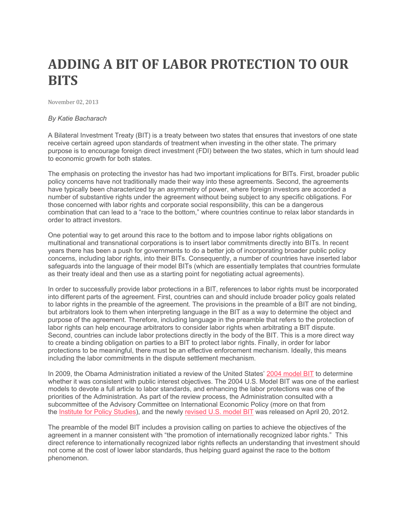## **ADDING A BIT OF LABOR PROTECTION TO OUR BITS**

 November 02, 2013

## *By Katie Bacharach*

 A Bilateral Investment Treaty (BIT) is a treaty between two states that ensures that investors of one state purpose is to encourage foreign direct investment (FDI) between the two states, which in turn should lead receive certain agreed upon standards of treatment when investing in the other state. The primary to economic growth for both states.

 The emphasis on protecting the investor has had two important implications for BITs. First, broader public policy concerns have not traditionally made their way into these agreements. Second, the agreements have typically been characterized by an asymmetry of power, where foreign investors are accorded a number of substantive rights under the agreement without being subject to any specific obligations. For order to attract investors. those concerned with labor rights and corporate social responsibility, this can be a dangerous combination that can lead to a "race to the bottom," where countries continue to relax labor standards in

 One potential way to get around this race to the bottom and to impose labor rights obligations on multinational and transnational corporations is to insert labor commitments directly into BITs. In recent years there has been a push for governments to do a better job of incorporating broader public policy concerns, including labor rights, into their BITs. Consequently, a number of countries have inserted labor safeguards into the language of their model BITs (which are essentially templates that countries formulate as their treaty ideal and then use as a starting point for negotiating actual agreements).

 into different parts of the agreement. First, countries can and should include broader policy goals related purpose of the agreement. Therefore, including language in the preamble that refers to the protection of labor rights can help encourage arbitrators to consider labor rights when arbitrating a BIT dispute. Second, countries can include labor protections directly in the body of the BIT. This is a more direct way protections to be meaningful, there must be an effective enforcement mechanism. Ideally, this means In order to successfully provide labor protections in a BIT, references to labor rights must be incorporated to labor rights in the preamble of the agreement. The provisions in the preamble of a BIT are not binding, but arbitrators look to them when interpreting language in the BIT as a way to determine the object and to create a binding obligation on parties to a BIT to protect labor rights. Finally, in order for labor including the labor commitments in the dispute settlement mechanism.

 whether it was consistent with public interest objectives. The 2004 U.S. Model BIT was one of the earliest models to devote a full article to labor standards, and enhancing the labor protections was one of the priorities of the Administration. As part of the review process, the Administration consulted with a subcommittee of the Advisory Committee on International Economic Policy (more on that from the Institute for Policy Studies), and the newly revised U.S. model BIT was released on April 20, 2012. In 2009, the Obama Administration initiated a review of the United States' 2004 model BIT to determine

 The preamble of the model BIT includes a provision calling on parties to achieve the objectives of the agreement in a manner consistent with "the promotion of internationally recognized labor rights." This direct reference to internationally recognized labor rights reflects an understanding that investment should not come at the cost of lower labor standards, thus helping guard against the race to the bottom phenomenon.